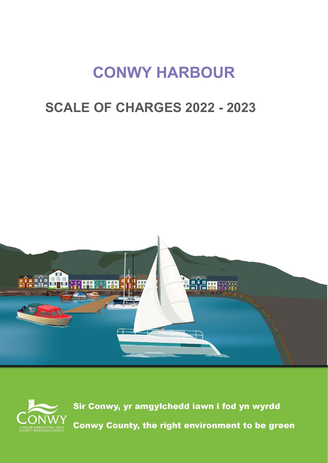# **CONWY HARBOUR**

## **SCALE OF CHARGES 2022 - 2023**





Sir Conwy, yr amgylchedd iawn i fod yn wyrdd Conwy County, the right environment to be green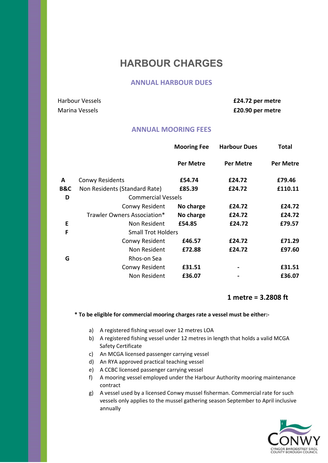### **HARBOUR CHARGES**

#### **ANNUAL HARBOUR DUES**

Harbour Vessels **£24.72 per metre**  Marina Vessels **£20.90 per metre** 

#### **ANNUAL MOORING FEES**

|     |                               | <b>Mooring Fee</b>        | <b>Harbour Dues</b> | Total     |
|-----|-------------------------------|---------------------------|---------------------|-----------|
|     |                               | <b>Per Metre</b>          | <b>Per Metre</b>    | Per Metre |
| A   | <b>Conwy Residents</b>        | £54.74                    | £24.72              | £79.46    |
| B&C | Non Residents (Standard Rate) | £85.39                    | £24.72              | £110.11   |
| D   | <b>Commercial Vessels</b>     |                           |                     |           |
|     | Conwy Resident                | No charge                 | £24.72              | £24.72    |
|     | Trawler Owners Association*   | No charge                 | £24.72              | £24.72    |
| E   | Non Resident                  | £54.85                    | £24.72              | £79.57    |
| F   |                               | <b>Small Trot Holders</b> |                     |           |
|     | Conwy Resident                | £46.57                    | £24.72              | £71.29    |
|     | Non Resident                  | £72.88                    | £24.72              | £97.60    |
| G   | Rhos-on Sea                   |                           |                     |           |
|     | Conwy Resident                | £31.51                    |                     | £31.51    |
|     | Non Resident                  | £36.07                    |                     | £36.07    |

#### **1 metre = 3.2808 ft**

**\* To be eligible for commercial mooring charges rate a vessel must be either:-**

- a) A registered fishing vessel over 12 metres LOA
- b) A registered fishing vessel under 12 metres in length that holds a valid MCGA Safety Certificate
- c) An MCGA licensed passenger carrying vessel
- d) An RYA approved practical teaching vessel
- e) A CCBC licensed passenger carrying vessel
- f) A mooring vessel employed under the Harbour Authority mooring maintenance contract

g) A vessel used by a licensed Conwy mussel fisherman. Commercial rate for such vessels only applies to the mussel gathering season September to April inclusive annually

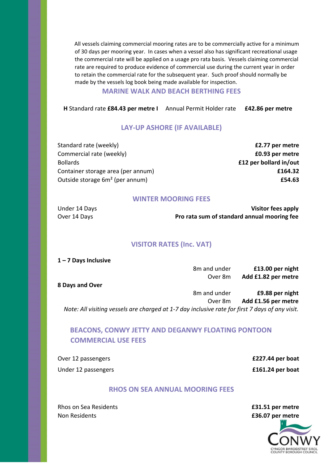All vessels claiming commercial mooring rates are to be commercially active for a minimum of 30 days per mooring year. In cases when a vessel also has significant recreational usage the commercial rate will be applied on a usage pro rata basis. Vessels claiming commercial rate are required to produce evidence of commercial use during the current year in order to retain the commercial rate for the subsequent year. Such proof should normally be made by the vessels log book being made available for inspection.

#### **MARINE WALK AND BEACH BERTHING FEES**

**H** Standard rate **£84.43 per metre I** Annual Permit Holder rate **£42.86 per metre** 

#### **LAY-UP ASHORE (IF AVAILABLE)**

Standard rate (weekly) **£2.77 per metre**  Commercial rate (weekly) **£0.93 per metre**  Bollards **£12 per bollard in/out**  Container storage area (per annum) **£164.32** Outside storage 6m² (per annum) **£54.63**

#### **WINTER MOORING FEES**

Under 14 Days **Visitor fees apply**  Over 14 Days **Pro rata sum of standard annual mooring fee** 

#### **VISITOR RATES (Inc. VAT)**

**1 – 7 Days Inclusive** 

8m and under **£13.00 per night**  Over 8m **Add £1.82 per metre** 

**8 Days and Over** 

8m and under **£9.88 per night**  Over 8m **Add £1.56 per metre**  *Note: All visiting vessels are charged at 1-7 day inclusive rate for first 7 days of any visit.* 

#### **BEACONS, CONWY JETTY AND DEGANWY FLOATING PONTOON COMMERCIAL USE FEES**

Over 12 passengers **£227.44 per boat**  Under 12 passengers *E161.24 per boat* 

#### **RHOS ON SEA ANNUAL MOORING FEES**

Rhos on Sea Residents **£31.51 per metre**  Non Residents **£36.07 per metre**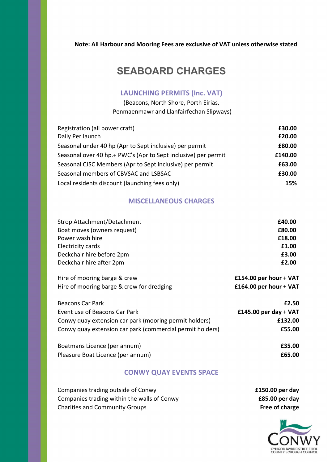#### **Note: All Harbour and Mooring Fees are exclusive of VAT unless otherwise stated**

## **SEABOARD CHARGES**

#### **LAUNCHING PERMITS (Inc. VAT)**

(Beacons, North Shore, Porth Eirias, Penmaenmawr and Llanfairfechan Slipways)

| Registration (all power craft)                                 | £30.00  |
|----------------------------------------------------------------|---------|
| Daily Per launch                                               | £20.00  |
| Seasonal under 40 hp (Apr to Sept inclusive) per permit        | £80.00  |
| Seasonal over 40 hp.+ PWC's (Apr to Sept inclusive) per permit | £140.00 |
| Seasonal CJSC Members (Apr to Sept inclusive) per permit       | £63.00  |
| Seasonal members of CBVSAC and LSBSAC                          | £30.00  |
| Local residents discount (launching fees only)                 | 15%     |

#### **MISCELLANEOUS CHARGES**

| Strop Attachment/Detachment | £40.00 |
|-----------------------------|--------|
| Boat moves (owners request) | £80.00 |
| Power wash hire             | £18.00 |
| Electricity cards           | £1.00  |
| Deckchair hire before 2pm   | £3.00  |
| Deckchair hire after 2pm    | £2.00  |
|                             |        |

| Hire of mooring barge & crew              | £154.00 per hour + $VAT$ |
|-------------------------------------------|--------------------------|
| Hire of mooring barge & crew for dredging | £164.00 per hour + $VAT$ |

| <b>Beacons Car Park</b>                                   | £2.50                   |
|-----------------------------------------------------------|-------------------------|
| Event use of Beacons Car Park                             | £145.00 per day + $VAT$ |
| Conwy quay extension car park (mooring permit holders)    | £132.00                 |
| Conwy quay extension car park (commercial permit holders) | £55.00                  |
|                                                           |                         |
| Boatmans Licence (per annum)                              | £35.00                  |
| Pleasure Boat Licence (per annum)                         | £65.00                  |

#### **CONWY QUAY EVENTS SPACE**

| Companies trading outside of Conwy          | £150.00 per day |
|---------------------------------------------|-----------------|
| Companies trading within the walls of Conwy | £85.00 per day  |
| <b>Charities and Community Groups</b>       | Free of charge  |